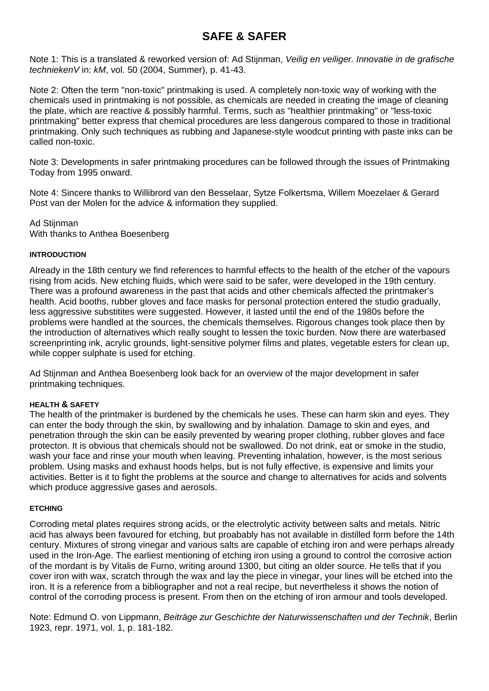# **SAFE & SAFER**

Note 1: This is a translated & reworked version of: Ad Stijnman, *Veilig en veiliger. Innovatie in de grafische techniekenV* in: *kM*, vol. 50 (2004, Summer), p. 41-43.

Note 2: Often the term "non-toxic" printmaking is used. A completely non-toxic way of working with the chemicals used in printmaking is not possible, as chemicals are needed in creating the image of cleaning the plate, which are reactive & possibly harmful. Terms, such as "healthier printmaking" or "less-toxic printmaking" better express that chemical procedures are less dangerous compared to those in traditional printmaking. Only such techniques as rubbing and Japanese-style woodcut printing with paste inks can be called non-toxic.

Note 3: Developments in safer printmaking procedures can be followed through the issues of Printmaking Today from 1995 onward.

Note 4: Sincere thanks to Willibrord van den Besselaar, Sytze Folkertsma, Willem Moezelaer & Gerard Post van der Molen for the advice & information they supplied.

Ad Stiinman With thanks to Anthea Boesenberg

## **INTRODUCTION**

Already in the 18th century we find references to harmful effects to the health of the etcher of the vapours rising from acids. New etching fluids, which were said to be safer, were developed in the 19th century. There was a profound awareness in the past that acids and other chemicals affected the printmaker's health. Acid booths, rubber gloves and face masks for personal protection entered the studio gradually, less aggressive substitites were suggested. However, it lasted until the end of the 1980s before the problems were handled at the sources, the chemicals themselves. Rigorous changes took place then by the introduction of alternatives which really sought to lessen the toxic burden. Now there are waterbased screenprinting ink, acrylic grounds, light-sensitive polymer films and plates, vegetable esters for clean up, while copper sulphate is used for etching.

Ad Stijnman and Anthea Boesenberg look back for an overview of the major development in safer printmaking techniques.

#### **HEALTH & SAFETY**

The health of the printmaker is burdened by the chemicals he uses. These can harm skin and eyes. They can enter the body through the skin, by swallowing and by inhalation. Damage to skin and eyes, and penetration through the skin can be easily prevented by wearing proper clothing, rubber gloves and face protecton. It is obvious that chemicals should not be swallowed. Do not drink, eat or smoke in the studio, wash your face and rinse your mouth when leaving. Preventing inhalation, however, is the most serious problem. Using masks and exhaust hoods helps, but is not fully effective, is expensive and limits your activities. Better is it to fight the problems at the source and change to alternatives for acids and solvents which produce aggressive gases and aerosols.

#### **ETCHING**

Corroding metal plates requires strong acids, or the electrolytic activity between salts and metals. Nitric acid has always been favoured for etching, but proabably has not available in distilled form before the 14th century. Mixtures of strong vinegar and various salts are capable of etching iron and were perhaps already used in the Iron-Age. The earliest mentioning of etching iron using a ground to control the corrosive action of the mordant is by Vitalis de Furno, writing around 1300, but citing an older source. He tells that if you cover iron with wax, scratch through the wax and lay the piece in vinegar, your lines will be etched into the iron. It is a reference from a bibliographer and not a real recipe, but nevertheless it shows the notion of control of the corroding process is present. From then on the etching of iron armour and tools developed.

Note: Edmund O. von Lippmann, *Beiträge zur Geschichte der Naturwissenschaften und der Technik*, Berlin 1923, repr. 1971, vol. 1, p. 181-182.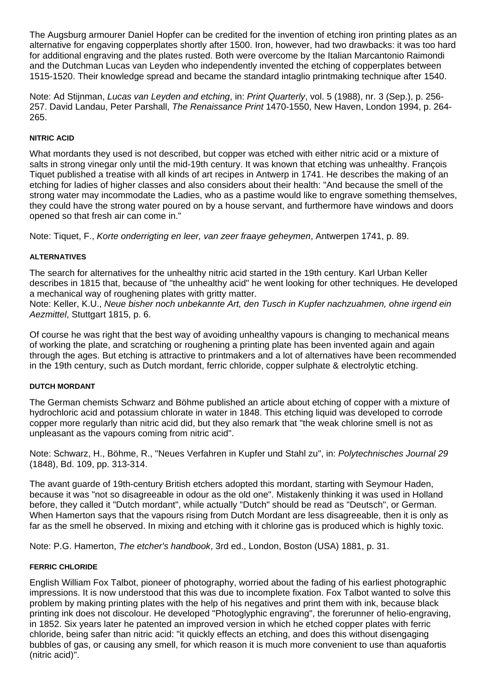The Augsburg armourer Daniel Hopfer can be credited for the invention of etching iron printing plates as an alternative for engaving copperplates shortly after 1500. Iron, however, had two drawbacks: it was too hard for additional engraving and the plates rusted. Both were overcome by the Italian Marcantonio Raimondi and the Dutchman Lucas van Leyden who independently invented the etching of copperplates between 1515-1520. Their knowledge spread and became the standard intaglio printmaking technique after 1540.

Note: Ad Stijnman, *Lucas van Leyden and etching*, in: *Print Quarterly*, vol. 5 (1988), nr. 3 (Sep.), p. 256- 257. David Landau, Peter Parshall, *The Renaissance Print* 1470-1550, New Haven, London 1994, p. 264- 265.

## **NITRIC ACID**

What mordants they used is not described, but copper was etched with either nitric acid or a mixture of salts in strong vinegar only until the mid-19th century. It was known that etching was unhealthy. François Tiquet published a treatise with all kinds of art recipes in Antwerp in 1741. He describes the making of an etching for ladies of higher classes and also considers about their health: "And because the smell of the strong water may incommodate the Ladies, who as a pastime would like to engrave something themselves, they could have the strong water poured on by a house servant, and furthermore have windows and doors opened so that fresh air can come in."

Note: Tiquet, F., *Korte onderrigting en leer, van zeer fraaye geheymen*, Antwerpen 1741, p. 89.

## **ALTERNATIVES**

The search for alternatives for the unhealthy nitric acid started in the 19th century. Karl Urban Keller describes in 1815 that, because of "the unhealthy acid" he went looking for other techniques. He developed a mechanical way of roughening plates with gritty matter.

Note: Keller, K.U., *Neue bisher noch unbekannte Art, den Tusch in Kupfer nachzuahmen, ohne irgend ein Aezmittel*, Stuttgart 1815, p. 6.

Of course he was right that the best way of avoiding unhealthy vapours is changing to mechanical means of working the plate, and scratching or roughening a printing plate has been invented again and again through the ages. But etching is attractive to printmakers and a lot of alternatives have been recommended in the 19th century, such as Dutch mordant, ferric chloride, copper sulphate & electrolytic etching.

#### **DUTCH MORDANT**

The German chemists Schwarz and Böhme published an article about etching of copper with a mixture of hydrochloric acid and potassium chlorate in water in 1848. This etching liquid was developed to corrode copper more regularly than nitric acid did, but they also remark that "the weak chlorine smell is not as unpleasant as the vapours coming from nitric acid".

Note: Schwarz, H., Böhme, R., "Neues Verfahren in Kupfer und Stahl zu", in: *Polytechnisches Journal 29* (1848), Bd. 109, pp. 313-314.

The avant guarde of 19th-century British etchers adopted this mordant, starting with Seymour Haden, because it was "not so disagreeable in odour as the old one". Mistakenly thinking it was used in Holland before, they called it "Dutch mordant", while actually "Dutch" should be read as "Deutsch", or German. When Hamerton says that the vapours rising from Dutch Mordant are less disagreeable, then it is only as far as the smell he observed. In mixing and etching with it chlorine gas is produced which is highly toxic.

Note: P.G. Hamerton, *The etcher's handbook*, 3rd ed., London, Boston (USA) 1881, p. 31.

#### **FERRIC CHLORIDE**

English William Fox Talbot, pioneer of photography, worried about the fading of his earliest photographic impressions. It is now understood that this was due to incomplete fixation. Fox Talbot wanted to solve this problem by making printing plates with the help of his negatives and print them with ink, because black printing ink does not discolour. He developed "Photoglyphic engraving", the forerunner of helio-engraving, in 1852. Six years later he patented an improved version in which he etched copper plates with ferric chloride, being safer than nitric acid: "it quickly effects an etching, and does this without disengaging bubbles of gas, or causing any smell, for which reason it is much more convenient to use than aquafortis (nitric acid)".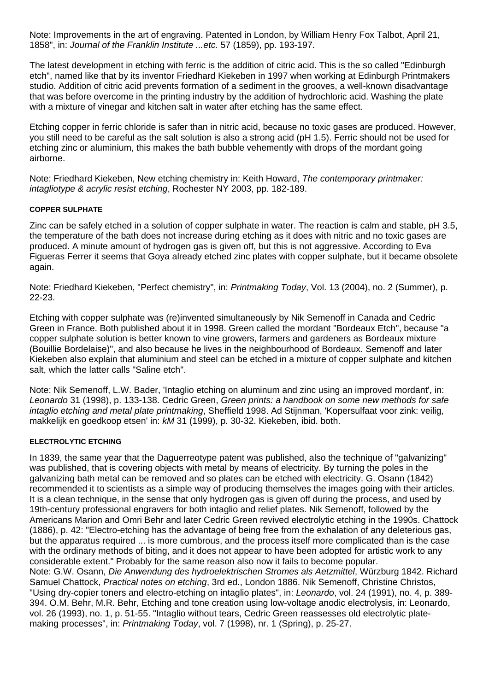Note: Improvements in the art of engraving. Patented in London, by William Henry Fox Talbot, April 21, 1858", in: *Journal of the Franklin Institute ...etc.* 57 (1859), pp. 193-197.

The latest development in etching with ferric is the addition of citric acid. This is the so called "Edinburgh etch", named like that by its inventor Friedhard Kiekeben in 1997 when working at Edinburgh Printmakers studio. Addition of citric acid prevents formation of a sediment in the grooves, a well-known disadvantage that was before overcome in the printing industry by the addition of hydrochloric acid. Washing the plate with a mixture of vinegar and kitchen salt in water after etching has the same effect.

Etching copper in ferric chloride is safer than in nitric acid, because no toxic gases are produced. However, you still need to be careful as the salt solution is also a strong acid (pH 1.5). Ferric should not be used for etching zinc or aluminium, this makes the bath bubble vehemently with drops of the mordant going airborne.

Note: Friedhard Kiekeben, New etching chemistry in: Keith Howard, *The contemporary printmaker: intagliotype & acrylic resist etching*, Rochester NY 2003, pp. 182-189.

#### **COPPER SULPHATE**

Zinc can be safely etched in a solution of copper sulphate in water. The reaction is calm and stable, pH 3.5, the temperature of the bath does not increase during etching as it does with nitric and no toxic gases are produced. A minute amount of hydrogen gas is given off, but this is not aggressive. According to Eva Figueras Ferrer it seems that Goya already etched zinc plates with copper sulphate, but it became obsolete again.

Note: Friedhard Kiekeben, "Perfect chemistry", in: *Printmaking Today*, Vol. 13 (2004), no. 2 (Summer), p. 22-23.

Etching with copper sulphate was (re)invented simultaneously by Nik Semenoff in Canada and Cedric Green in France. Both published about it in 1998. Green called the mordant "Bordeaux Etch", because "a copper sulphate solution is better known to vine growers, farmers and gardeners as Bordeaux mixture (Bouillie Bordelaise)", and also because he lives in the neighbourhood of Bordeaux. Semenoff and later Kiekeben also explain that aluminium and steel can be etched in a mixture of copper sulphate and kitchen salt, which the latter calls "Saline etch".

Note: Nik Semenoff, L.W. Bader, 'Intaglio etching on aluminum and zinc using an improved mordant', in: *Leonardo* 31 (1998), p. 133-138. Cedric Green, *Green prints: a handbook on some new methods for safe intaglio etching and metal plate printmaking*, Sheffield 1998. Ad Stijnman, 'Kopersulfaat voor zink: veilig, makkelijk en goedkoop etsen' in: *kM* 31 (1999), p. 30-32. Kiekeben, ibid. both.

#### **ELECTROLYTIC ETCHING**

In 1839, the same year that the Daguerreotype patent was published, also the technique of "galvanizing" was published, that is covering objects with metal by means of electricity. By turning the poles in the galvanizing bath metal can be removed and so plates can be etched with electricity. G. Osann (1842) recommended it to scientists as a simple way of producing themselves the images going with their articles. It is a clean technique, in the sense that only hydrogen gas is given off during the process, and used by 19th-century professional engravers for both intaglio and relief plates. Nik Semenoff, followed by the Americans Marion and Omri Behr and later Cedric Green revived electrolytic etching in the 1990s. Chattock (1886), p. 42: "Electro-etching has the advantage of being free from the exhalation of any deleterious gas, but the apparatus required ... is more cumbrous, and the process itself more complicated than is the case with the ordinary methods of biting, and it does not appear to have been adopted for artistic work to any considerable extent." Probably for the same reason also now it fails to become popular. Note: G.W. Osann, *Die Anwendung des hydroelektrischen Stromes als Aetzmittel*, Würzburg 1842. Richard Samuel Chattock, *Practical notes on etching*, 3rd ed., London 1886. Nik Semenoff, Christine Christos, "Using dry-copier toners and electro-etching on intaglio plates", in: *Leonardo*, vol. 24 (1991), no. 4, p. 389- 394. O.M. Behr, M.R. Behr, Etching and tone creation using low-voltage anodic electrolysis, in: Leonardo, vol. 26 (1993), no. 1, p. 51-55. "Intaglio without tears, Cedric Green reassesses old electrolytic plate-

making processes", in: *Printmaking Today*, vol. 7 (1998), nr. 1 (Spring), p. 25-27.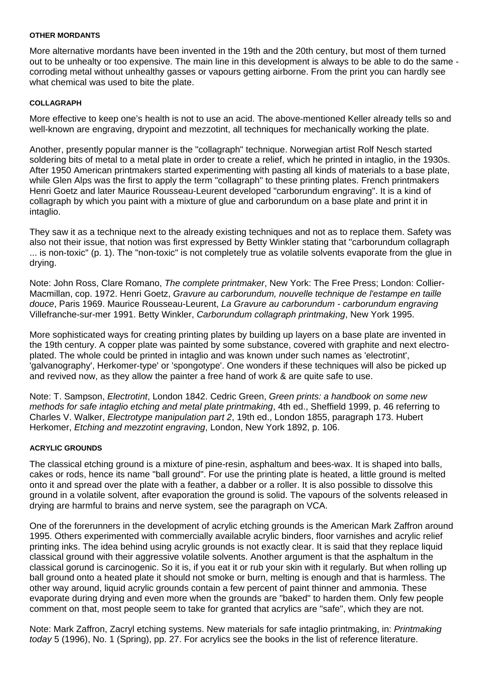#### **OTHER MORDANTS**

More alternative mordants have been invented in the 19th and the 20th century, but most of them turned out to be unhealty or too expensive. The main line in this development is always to be able to do the same corroding metal without unhealthy gasses or vapours getting airborne. From the print you can hardly see what chemical was used to bite the plate.

#### **COLLAGRAPH**

More effective to keep one's health is not to use an acid. The above-mentioned Keller already tells so and well-known are engraving, drypoint and mezzotint, all techniques for mechanically working the plate.

Another, presently popular manner is the "collagraph" technique. Norwegian artist Rolf Nesch started soldering bits of metal to a metal plate in order to create a relief, which he printed in intaglio, in the 1930s. After 1950 American printmakers started experimenting with pasting all kinds of materials to a base plate, while Glen Alps was the first to apply the term "collagraph" to these printing plates. French printmakers Henri Goetz and later Maurice Rousseau-Leurent developed "carborundum engraving". It is a kind of collagraph by which you paint with a mixture of glue and carborundum on a base plate and print it in intaglio.

They saw it as a technique next to the already existing techniques and not as to replace them. Safety was also not their issue, that notion was first expressed by Betty Winkler stating that "carborundum collagraph ... is non-toxic" (p. 1). The "non-toxic" is not completely true as volatile solvents evaporate from the glue in drying.

Note: John Ross, Clare Romano, *The complete printmaker*, New York: The Free Press; London: Collier-Macmillan, cop. 1972. Henri Goetz, *Gravure au carborundum, nouvelle technique de l'estampe en taille douce*, Paris 1969. Maurice Rousseau-Leurent, *La Gravure au carborundum - carborundum engraving* Villefranche-sur-mer 1991. Betty Winkler, *Carborundum collagraph printmaking*, New York 1995.

More sophisticated ways for creating printing plates by building up layers on a base plate are invented in the 19th century. A copper plate was painted by some substance, covered with graphite and next electroplated. The whole could be printed in intaglio and was known under such names as 'electrotint', 'galvanography', Herkomer-type' or 'spongotype'. One wonders if these techniques will also be picked up and revived now, as they allow the painter a free hand of work & are quite safe to use.

Note: T. Sampson, *Electrotint*, London 1842. Cedric Green, *Green prints: a handbook on some new methods for safe intaglio etching and metal plate printmaking*, 4th ed., Sheffield 1999, p. 46 referring to Charles V. Walker, *Electrotype manipulation part 2*, 19th ed., London 1855, paragraph 173. Hubert Herkomer, *Etching and mezzotint engraving*, London, New York 1892, p. 106.

#### **ACRYLIC GROUNDS**

The classical etching ground is a mixture of pine-resin, asphaltum and bees-wax. It is shaped into balls, cakes or rods, hence its name "ball ground". For use the printing plate is heated, a little ground is melted onto it and spread over the plate with a feather, a dabber or a roller. It is also possible to dissolve this ground in a volatile solvent, after evaporation the ground is solid. The vapours of the solvents released in drying are harmful to brains and nerve system, see the paragraph on VCA.

One of the forerunners in the development of acrylic etching grounds is the American Mark Zaffron around 1995. Others experimented with commercially available acrylic binders, floor varnishes and acrylic relief printing inks. The idea behind using acrylic grounds is not exactly clear. It is said that they replace liquid classical ground with their aggressive volatile solvents. Another argument is that the asphaltum in the classical gorund is carcinogenic. So it is, if you eat it or rub your skin with it regularly. But when rolling up ball ground onto a heated plate it should not smoke or burn, melting is enough and that is harmless. The other way around, liquid acrylic grounds contain a few percent of paint thinner and ammonia. These evaporate during drying and even more when the grounds are "baked" to harden them. Only few people comment on that, most people seem to take for granted that acrylics are "safe", which they are not.

Note: Mark Zaffron, Zacryl etching systems. New materials for safe intaglio printmaking, in: *Printmaking today* 5 (1996), No. 1 (Spring), pp. 27. For acrylics see the books in the list of reference literature.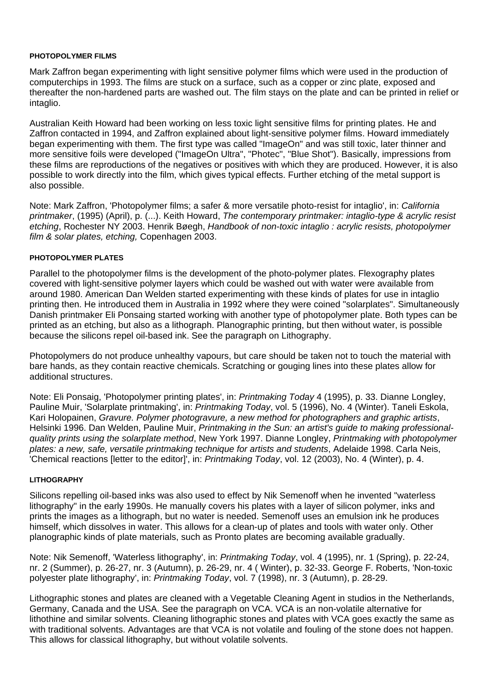#### **PHOTOPOLYMER FILMS**

Mark Zaffron began experimenting with light sensitive polymer films which were used in the production of computerchips in 1993. The films are stuck on a surface, such as a copper or zinc plate, exposed and thereafter the non-hardened parts are washed out. The film stays on the plate and can be printed in relief or intaglio.

Australian Keith Howard had been working on less toxic light sensitive films for printing plates. He and Zaffron contacted in 1994, and Zaffron explained about light-sensitive polymer films. Howard immediately began experimenting with them. The first type was called "ImageOn" and was still toxic, later thinner and more sensitive foils were developed ("ImageOn Ultra", "Photec", "Blue Shot"). Basically, impressions from these films are reproductions of the negatives or positives with which they are produced. However, it is also possible to work directly into the film, which gives typical effects. Further etching of the metal support is also possible.

Note: Mark Zaffron, 'Photopolymer films; a safer & more versatile photo-resist for intaglio', in: *California printmaker*, (1995) (April), p. (...). Keith Howard, *The contemporary printmaker: intaglio-type & acrylic resist etching*, Rochester NY 2003. Henrik Bøegh, *Handbook of non-toxic intaglio : acrylic resists, photopolymer film & solar plates, etching,* Copenhagen 2003.

#### **PHOTOPOLYMER PLATES**

Parallel to the photopolymer films is the development of the photo-polymer plates. Flexography plates covered with light-sensitive polymer layers which could be washed out with water were available from around 1980. American Dan Welden started experimenting with these kinds of plates for use in intaglio printing then. He introduced them in Australia in 1992 where they were coined "solarplates". Simultaneously Danish printmaker Eli Ponsaing started working with another type of photopolymer plate. Both types can be printed as an etching, but also as a lithograph. Planographic printing, but then without water, is possible because the silicons repel oil-based ink. See the paragraph on Lithography.

Photopolymers do not produce unhealthy vapours, but care should be taken not to touch the material with bare hands, as they contain reactive chemicals. Scratching or gouging lines into these plates allow for additional structures.

Note: Eli Ponsaig, 'Photopolymer printing plates', in: *Printmaking Today* 4 (1995), p. 33. Dianne Longley, Pauline Muir, 'Solarplate printmaking', in: *Printmaking Today*, vol. 5 (1996), No. 4 (Winter). Taneli Eskola, Kari Holopainen, *Gravure. Polymer photogravure, a new method for photographers and graphic artists*, Helsinki 1996. Dan Welden, Pauline Muir, *Printmaking in the Sun: an artist's guide to making professionalquality prints using the solarplate method*, New York 1997. Dianne Longley, *Printmaking with photopolymer plates: a new, safe, versatile printmaking technique for artists and students*, Adelaide 1998. Carla Neis, 'Chemical reactions [letter to the editor]', in: *Printmaking Today*, vol. 12 (2003), No. 4 (Winter), p. 4.

#### **LITHOGRAPHY**

Silicons repelling oil-based inks was also used to effect by Nik Semenoff when he invented "waterless lithography" in the early 1990s. He manually covers his plates with a layer of silicon polymer, inks and prints the images as a lithograph, but no water is needed. Semenoff uses an emulsion ink he produces himself, which dissolves in water. This allows for a clean-up of plates and tools with water only. Other planographic kinds of plate materials, such as Pronto plates are becoming available gradually.

Note: Nik Semenoff, 'Waterless lithography', in: *Printmaking Today*, vol. 4 (1995), nr. 1 (Spring), p. 22-24, nr. 2 (Summer), p. 26-27, nr. 3 (Autumn), p. 26-29, nr. 4 ( Winter), p. 32-33. George F. Roberts, 'Non-toxic polyester plate lithography', in: *Printmaking Today*, vol. 7 (1998), nr. 3 (Autumn), p. 28-29.

Lithographic stones and plates are cleaned with a Vegetable Cleaning Agent in studios in the Netherlands, Germany, Canada and the USA. See the paragraph on VCA. VCA is an non-volatile alternative for lithothine and similar solvents. Cleaning lithographic stones and plates with VCA goes exactly the same as with traditional solvents. Advantages are that VCA is not volatile and fouling of the stone does not happen. This allows for classical lithography, but without volatile solvents.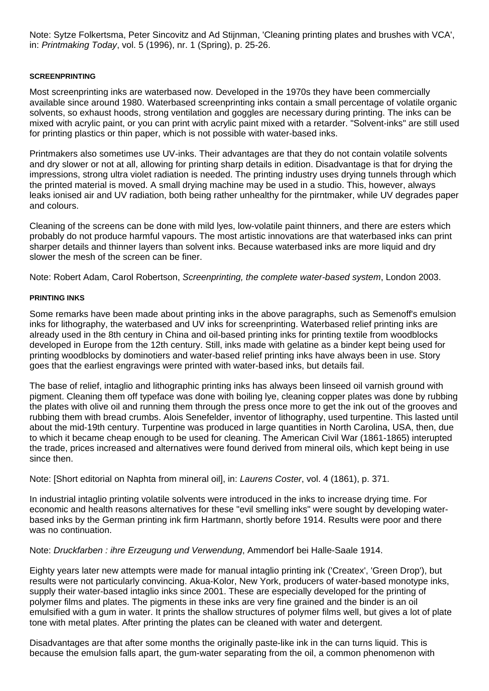Note: Sytze Folkertsma, Peter Sincovitz and Ad Stijnman, 'Cleaning printing plates and brushes with VCA', in: *Printmaking Today*, vol. 5 (1996), nr. 1 (Spring), p. 25-26.

## **SCREENPRINTING**

Most screenprinting inks are waterbased now. Developed in the 1970s they have been commercially available since around 1980. Waterbased screenprinting inks contain a small percentage of volatile organic solvents, so exhaust hoods, strong ventilation and goggles are necessary during printing. The inks can be mixed with acrylic paint, or you can print with acrylic paint mixed with a retarder. "Solvent-inks" are still used for printing plastics or thin paper, which is not possible with water-based inks.

Printmakers also sometimes use UV-inks. Their advantages are that they do not contain volatile solvents and dry slower or not at all, allowing for printing sharp details in edition. Disadvantage is that for drying the impressions, strong ultra violet radiation is needed. The printing industry uses drying tunnels through which the printed material is moved. A small drying machine may be used in a studio. This, however, always leaks ionised air and UV radiation, both being rather unhealthy for the pirntmaker, while UV degrades paper and colours.

Cleaning of the screens can be done with mild lyes, low-volatile paint thinners, and there are esters which probably do not produce harmful vapours. The most artistic innovations are that waterbased inks can print sharper details and thinner layers than solvent inks. Because waterbased inks are more liquid and dry slower the mesh of the screen can be finer.

Note: Robert Adam, Carol Robertson, *Screenprinting, the complete water-based system*, London 2003.

## **PRINTING INKS**

Some remarks have been made about printing inks in the above paragraphs, such as Semenoff's emulsion inks for lithography, the waterbased and UV inks for screenprinting. Waterbased relief printing inks are already used in the 8th century in China and oil-based printing inks for printing textile from woodblocks developed in Europe from the 12th century. Still, inks made with gelatine as a binder kept being used for printing woodblocks by dominotiers and water-based relief printing inks have always been in use. Story goes that the earliest engravings were printed with water-based inks, but details fail.

The base of relief, intaglio and lithographic printing inks has always been linseed oil varnish ground with pigment. Cleaning them off typeface was done with boiling lye, cleaning copper plates was done by rubbing the plates with olive oil and running them through the press once more to get the ink out of the grooves and rubbing them with bread crumbs. Alois Senefelder, inventor of lithography, used turpentine. This lasted until about the mid-19th century. Turpentine was produced in large quantities in North Carolina, USA, then, due to which it became cheap enough to be used for cleaning. The American Civil War (1861-1865) interupted the trade, prices increased and alternatives were found derived from mineral oils, which kept being in use since then.

Note: [Short editorial on Naphta from mineral oil], in: *Laurens Coster*, vol. 4 (1861), p. 371.

In industrial intaglio printing volatile solvents were introduced in the inks to increase drying time. For economic and health reasons alternatives for these "evil smelling inks" were sought by developing waterbased inks by the German printing ink firm Hartmann, shortly before 1914. Results were poor and there was no continuation.

Note: *Druckfarben : ihre Erzeugung und Verwendung*, Ammendorf bei Halle-Saale 1914.

Eighty years later new attempts were made for manual intaglio printing ink ('Createx', 'Green Drop'), but results were not particularly convincing. Akua-Kolor, New York, producers of water-based monotype inks, supply their water-based intaglio inks since 2001. These are especially developed for the printing of polymer films and plates. The pigments in these inks are very fine grained and the binder is an oil emulsified with a gum in water. It prints the shallow structures of polymer films well, but gives a lot of plate tone with metal plates. After printing the plates can be cleaned with water and detergent.

Disadvantages are that after some months the originally paste-like ink in the can turns liquid. This is because the emulsion falls apart, the gum-water separating from the oil, a common phenomenon with